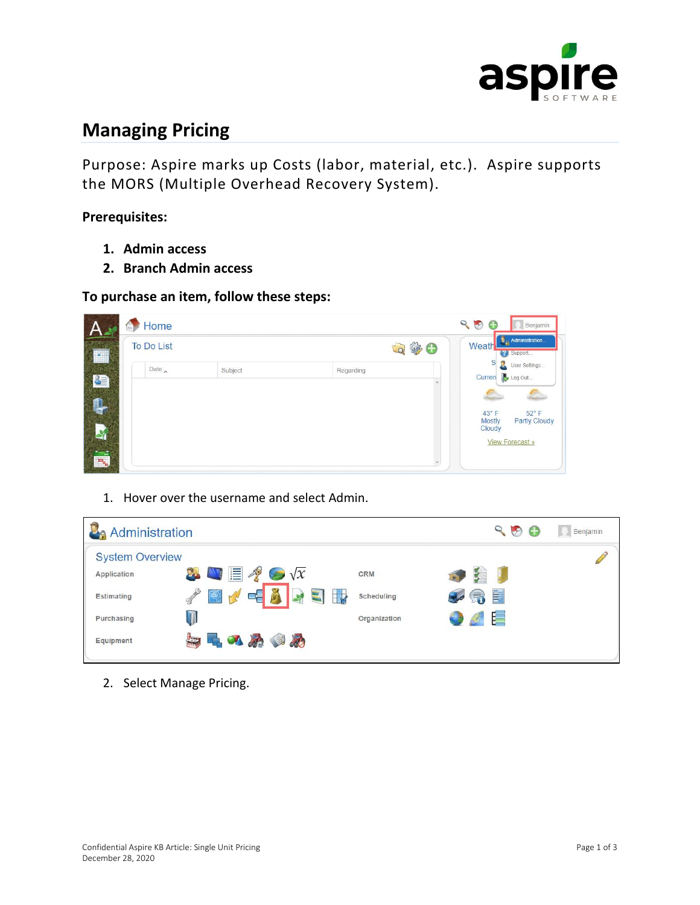

## **Managing Pricing**

Purpose: Aspire marks up Costs (labor, material, etc.). Aspire supports the MORS (Multiple Overhead Recovery System).

**Prerequisites:** 

- **1. Admin access**
- **2. Branch Admin access**

## **To purchase an item, follow these steps:**

| $H =$                         | Home              |         |              | 90<br>Œ                         | Benjamin                                 |
|-------------------------------|-------------------|---------|--------------|---------------------------------|------------------------------------------|
|                               | <b>To Do List</b> |         | $Q \oplus Q$ | Weath                           | $\blacksquare$ Administration<br>Support |
| Œ                             | Date $\sim$       | Subject | Regarding    | S<br>Curren                     | B.<br>User Settings<br>Log Out           |
|                               |                   |         |              | $43^{\circ}$ F<br><b>Mostly</b> | œ<br>$52^{\circ}$ F<br>Partly Cloudy     |
|                               |                   |         |              | Cloudy                          | <b>View Forecast »</b>                   |
| $\overline{P_{\mathbf{b}_n}}$ |                   |         |              |                                 |                                          |

1. Hover over the username and select Admin.

| <b>La Administration</b> |                                                         |                        | Q<br>G3<br>K.<br>Benjamin |
|--------------------------|---------------------------------------------------------|------------------------|---------------------------|
| <b>System Overview</b>   |                                                         |                        |                           |
| Application              | $\bullet \blacksquare \blacksquare \ell \odot \sqrt{x}$ | CRM                    |                           |
| Estimating               | 電子<br>$\Box$<br><b>XE</b><br><b>IV</b>                  | -10<br>Scheduling      | 雪                         |
| Purchasing               |                                                         | $\tau$<br>Organization | E                         |
| Equipment                | 日日のめのめ                                                  |                        |                           |

2. Select Manage Pricing.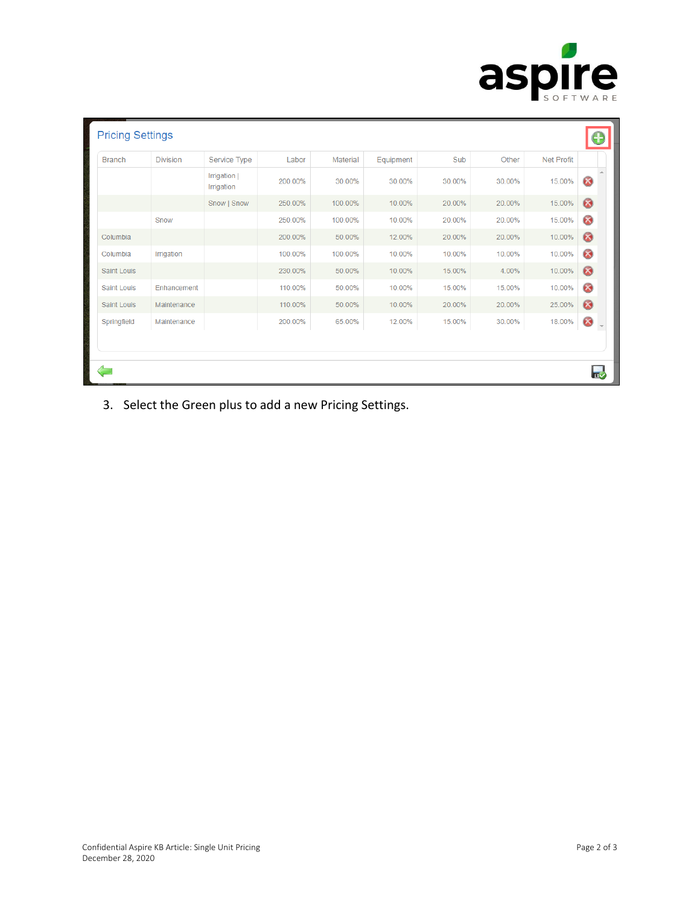

| <b>Branch</b> | <b>Division</b> | Service Type               | Labor   | Material | Equipment | Sub    | Other  | <b>Net Profit</b> |                            |
|---------------|-----------------|----------------------------|---------|----------|-----------|--------|--------|-------------------|----------------------------|
|               |                 | Irrigation  <br>Irrigation | 200.00% | 30.00%   | 30.00%    | 30.00% | 30.00% | 15.00%            | $\infty$                   |
|               |                 | Snow   Snow                | 250.00% | 100.00%  | 10.00%    | 20.00% | 20.00% | 15.00%            | $\odot$                    |
|               | Snow            |                            | 250.00% | 100.00%  | 10.00%    | 20.00% | 20.00% | 15.00%            | $\infty$                   |
| Columbia      |                 |                            | 200.00% | 50.00%   | 12.00%    | 20.00% | 20.00% | 10.00%            | $\odot$                    |
| Columbia      | Irrigation      |                            | 100.00% | 100.00%  | 10.00%    | 10.00% | 10.00% | 10.00%            | $\infty$                   |
| Saint Louis   |                 |                            | 230.00% | 50.00%   | 10.00%    | 15.00% | 4.00%  | 10.00%            | $\omega$                   |
| Saint Louis   | Enhancement     |                            | 110.00% | 50.00%   | 10.00%    | 15.00% | 15.00% | 10.00%            | $\infty$                   |
| Saint Louis   | Maintenance     |                            | 110.00% | 50.00%   | 10.00%    | 20.00% | 20.00% | 25.00%            | $\omega$                   |
| Springfield   | Maintenance     |                            | 200.00% | 65.00%   | 12.00%    | 15.00% | 30.00% | 18.00%            | $\boldsymbol{\mathcal{S}}$ |

3. Select the Green plus to add a new Pricing Settings.